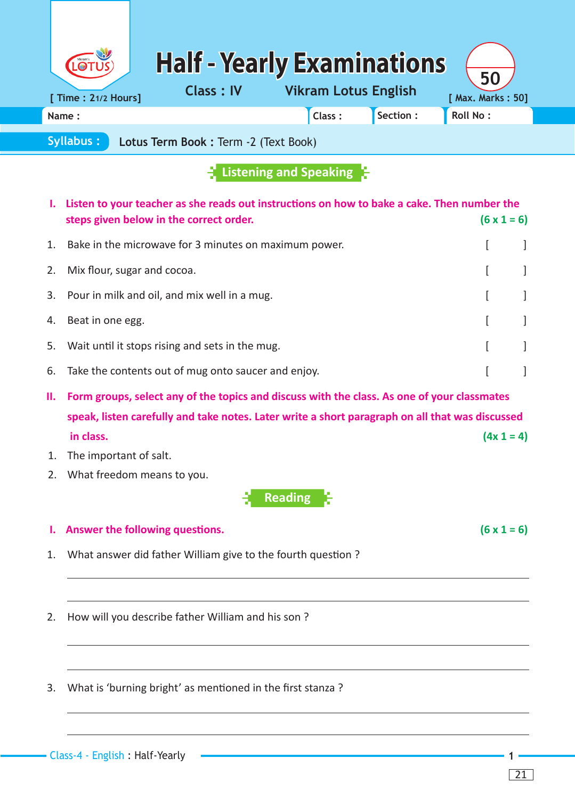| LOTUS                | <b>Half - Yearly Examinations</b>               | 50                |
|----------------------|-------------------------------------------------|-------------------|
| [ Time : 21/2 Hours] | <b>Vikram Lotus English</b><br><b>Class: IV</b> | [ Max. Marks: 50] |
| Name:                | Section:<br>Class:                              | <b>Roll No:</b>   |

**Syllabus : Lotus Term Book :** Term -2 (Text Book)

## **Listening and Speaking**

|    | I. Listen to your teacher as she reads out instructions on how to bake a cake. Then number the<br>steps given below in the correct order. |  | $(6 \times 1 = 6)$ |
|----|-------------------------------------------------------------------------------------------------------------------------------------------|--|--------------------|
| 1. | Bake in the microwave for 3 minutes on maximum power.                                                                                     |  |                    |
| 2. | Mix flour, sugar and cocoa.                                                                                                               |  |                    |
|    | 3. Pour in milk and oil, and mix well in a mug.                                                                                           |  |                    |
|    | 4. Beat in one egg.                                                                                                                       |  |                    |
|    | 5. Wait until it stops rising and sets in the mug.                                                                                        |  |                    |
|    | 6. Take the contents out of mug onto saucer and enjoy.                                                                                    |  |                    |
| Ш. | Form groups, select any of the topics and discuss with the class. As one of your classmates                                               |  |                    |
|    |                                                                                                                                           |  |                    |

 **speak, listen carefully and take notes. Later write a short paragraph on all that was discussed in class.**  $(4x 1 = 4)$ 

- 1. The important of salt.
- 2. What freedom means to you.

**Reading**

## **1.** Answer the following questions.  $(6 \times 1 = 6)$

- 1. What answer did father William give to the fourth question ?
- 2. How will you describe father William and his son?
- 3. What is 'burning bright' as mentioned in the first stanza ?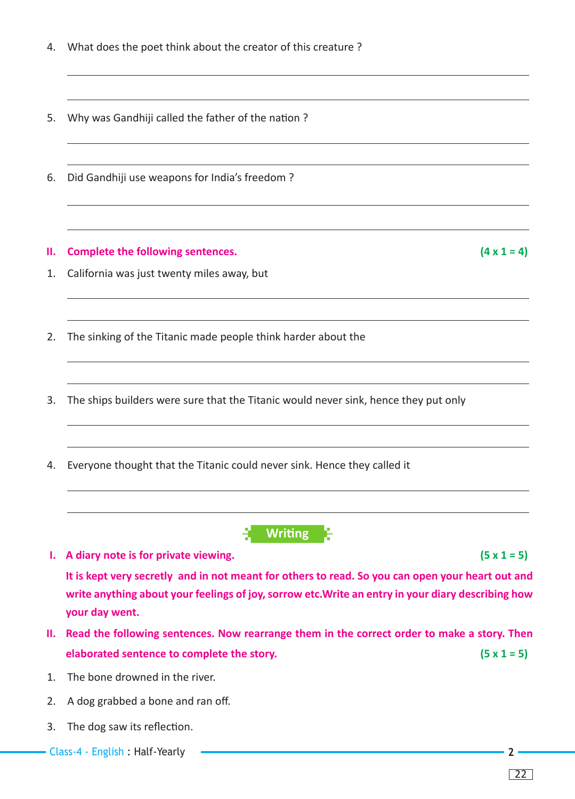| 4.       | What does the poet think about the creator of this creature?                                                                                                                                                                                                                           |
|----------|----------------------------------------------------------------------------------------------------------------------------------------------------------------------------------------------------------------------------------------------------------------------------------------|
| 5.       | Why was Gandhiji called the father of the nation?                                                                                                                                                                                                                                      |
| 6.       | Did Gandhiji use weapons for India's freedom?                                                                                                                                                                                                                                          |
| Ш.<br>1. | $(4 \times 1 = 4)$<br><b>Complete the following sentences.</b><br>California was just twenty miles away, but                                                                                                                                                                           |
| 2.       | The sinking of the Titanic made people think harder about the                                                                                                                                                                                                                          |
| 3.       | The ships builders were sure that the Titanic would never sink, hence they put only                                                                                                                                                                                                    |
| 4.       | Everyone thought that the Titanic could never sink. Hence they called it                                                                                                                                                                                                               |
|          | <b>Writing</b>                                                                                                                                                                                                                                                                         |
| ъ.       | $(5 \times 1 = 5)$<br>A diary note is for private viewing.<br>It is kept very secretly and in not meant for others to read. So you can open your heart out and<br>write anything about your feelings of joy, sorrow etc. Write an entry in your diary describing how<br>your day went. |
| Ш.       | Read the following sentences. Now rearrange them in the correct order to make a story. Then                                                                                                                                                                                            |
|          | $(5 \times 1 = 5)$<br>elaborated sentence to complete the story.                                                                                                                                                                                                                       |
| 1.       | The bone drowned in the river.                                                                                                                                                                                                                                                         |
| 2.       | A dog grabbed a bone and ran off.                                                                                                                                                                                                                                                      |

3. The dog saw its reflection.

Class-4 - English : Half-Yearly **2**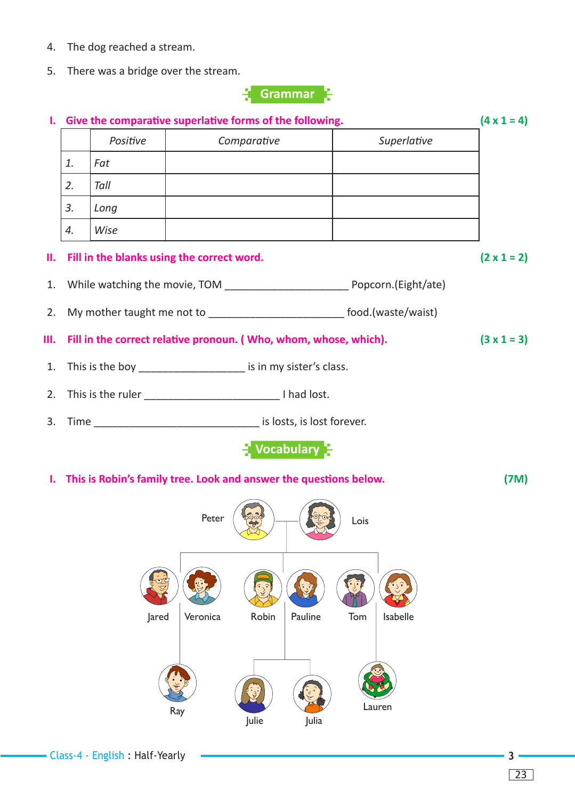- 4. The dog reached a stream.
- 5. There was a bridge over the stream.



|    | I. Give the comparative superlative forms of the following.<br>$(4 \times 1 = 4)$ |          |                                                                              |             |                    |
|----|-----------------------------------------------------------------------------------|----------|------------------------------------------------------------------------------|-------------|--------------------|
|    |                                                                                   | Positive | Comparative                                                                  | Superlative |                    |
|    | 1.                                                                                | Fat      |                                                                              |             |                    |
|    | 2.                                                                                | Tall     |                                                                              |             |                    |
|    | 3.                                                                                | Long     |                                                                              |             |                    |
|    | 4.                                                                                | Wise     |                                                                              |             |                    |
|    |                                                                                   |          | II. Fill in the blanks using the correct word.                               |             | $(2 \times 1 = 2)$ |
|    |                                                                                   |          |                                                                              |             |                    |
| 2. |                                                                                   |          | My mother taught me not to ______________________________ food.(waste/waist) |             |                    |
|    |                                                                                   |          | III. Fill in the correct relative pronoun. (Who, whom, whose, which).        |             | $(3 \times 1 = 3)$ |
|    |                                                                                   |          | 1. This is the boy _____________________ is in my sister's class.            |             |                    |
|    |                                                                                   |          |                                                                              |             |                    |
|    |                                                                                   |          | 3. Time ___________________________________ is losts, is lost forever.       |             |                    |
|    |                                                                                   |          | $\mathbb{R}$ Vocabulary $\mathbb{R}$                                         |             |                    |

**1.** This is Robin's family tree. Look and answer the questions below. (7M)